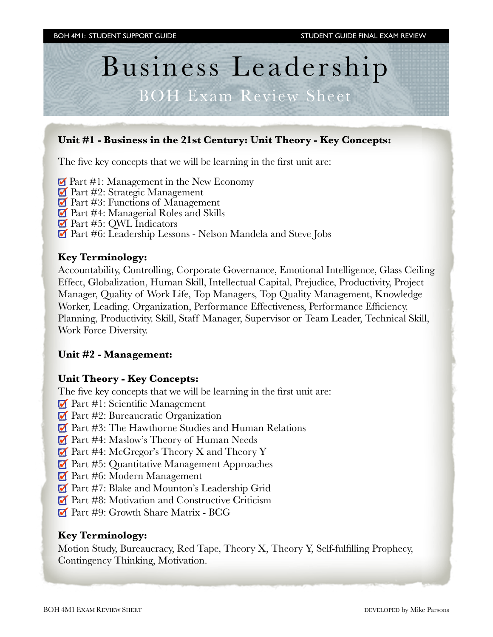# Business Leadership

# BOH Exam Review Sheet

# **Unit #1 - Business in the 21st Century: Unit Theory - Key Concepts:**

The five key concepts that we will be learning in the first unit are:

 $\blacksquare$  Part #1: Management in the New Economy

- **Part #2: Strategic Management**
- Part #3: Functions of Management
- **Part #4: Managerial Roles and Skills**
- **Part #5: QWL Indicators**
- Part #6: Leadership Lessons Nelson Mandela and Steve Jobs

### **Key Terminology:**

Accountability, Controlling, Corporate Governance, Emotional Intelligence, Glass Ceiling Effect, Globalization, Human Skill, Intellectual Capital, Prejudice, Productivity, Project Manager, Quality of Work Life, Top Managers, Top Quality Management, Knowledge Worker, Leading, Organization, Performance Effectiveness, Performance Efficiency, Planning, Productivity, Skill, Staff Manager, Supervisor or Team Leader, Technical Skill, Work Force Diversity.

#### **Unit #2 - Management:**

#### **Unit Theory - Key Concepts:**

The five key concepts that we will be learning in the first unit are:

- **Part #1: Scientific Management**
- $\blacksquare$  Part #2: Bureaucratic Organization
- Part #3: The Hawthorne Studies and Human Relations
- **Part #4: Maslow's Theory of Human Needs**
- $\blacksquare$  Part #4: McGregor's Theory X and Theory Y
- Part #5: Quantitative Management Approaches
- **Part #6: Modern Management**
- Part #7: Blake and Mounton's Leadership Grid
- Part #8: Motivation and Constructive Criticism
- **Part #9: Growth Share Matrix BCG**

#### **Key Terminology:**

Motion Study, Bureaucracy, Red Tape, Theory X, Theory Y, Self-fulfilling Prophecy, Contingency Thinking, Motivation.